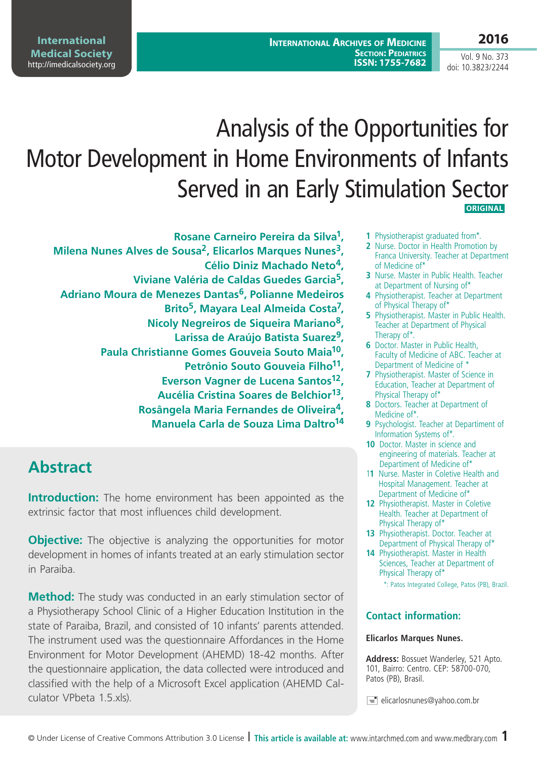**International Archives of Medicine SECTION: PEDIATRICS ISSN: 1755-7682**

#### **2016**

Vol. 9 No. 373 doi: 10.3823/2244

# Analysis of the Opportunities for Motor Development in Home Environments of Infants Served in an Early Stimulation Sector  **ORIGINAL**

**Rosane Carneiro Pereira da Silva1, Milena Nunes Alves de Sousa2, Elicarlos Marques Nunes3, Célio Diniz Machado Neto4, Viviane Valéria de Caldas Guedes Garcia5, Adriano Moura de Menezes Dantas6, Polianne Medeiros Brito5, Mayara Leal Almeida Costa7, Nicoly Negreiros de Siqueira Mariano8, Larissa de Araújo Batista Suarez9, Paula Christianne Gomes Gouveia Souto Maia10, Petrônio Souto Gouveia Filho11, Everson Vagner de Lucena Santos12, Aucélia Cristina Soares de Belchior13, Rosângela Maria Fernandes de Oliveira4, Manuela Carla de Souza Lima Daltro14**

# **Abstract**

**Introduction:** The home environment has been appointed as the extrinsic factor that most influences child development.

**Objective:** The objective is analyzing the opportunities for motor development in homes of infants treated at an early stimulation sector in Paraiba.

**Method:** The study was conducted in an early stimulation sector of a Physiotherapy School Clinic of a Higher Education Institution in the state of Paraiba, Brazil, and consisted of 10 infants' parents attended. The instrument used was the questionnaire Affordances in the Home Environment for Motor Development (AHEMD) 18-42 months. After the questionnaire application, the data collected were introduced and classified with the help of a Microsoft Excel application (AHEMD Calculator VPbeta 1.5.xls).

- **1** Physiotherapist graduated from\*.
- **2** Nurse. Doctor in Health Promotion by Franca University. Teacher at Department of Medicine of\*
- **3** Nurse. Master in Public Health. Teacher at Department of Nursing of\*
- **4** Physiotherapist. Teacher at Department of Physical Therapy of\*
- **5** Physiotherapist. Master in Public Health. Teacher at Department of Physical Therapy of\*.
- **6** Doctor. Master in Public Health, Faculty of Medicine of ABC. Teacher at Department of Medicine of \*
- **7** Physiotherapist. Master of Science in Education, Teacher at Department of Physical Therapy of\*
- **8** Doctors. Teacher at Department of Medicine of\*.
- **9** Psychologist. Teacher at Departiment of Information Systems of\*.
- **10** Doctor. Master in science and engineering of materials. Teacher at Departiment of Medicine of\*
- 1**1** Nurse. Master in Coletive Health and Hospital Management. Teacher at Department of Medicine of\*
- **12** Physiotherapist. Master in Coletive Health. Teacher at Department of Physical Therapy of\*
- **13** Physiotherapist. Doctor. Teacher at Department of Physical Therapy of\*
- **14** Physiotherapist. Master in Health Sciences, Teacher at Department of Physical Therapy of\*
	- \*: Patos Integrated College, Patos (PB), Brazil.

#### **Contact information:**

#### **Elicarlos Marques Nunes.**

**Address:** Bossuet Wanderley, 521 Apto. 101, Bairro: Centro. CEP: 58700-070, Patos (PB), Brasil.

 $\equiv$  elicarlosnunes@yahoo.com.br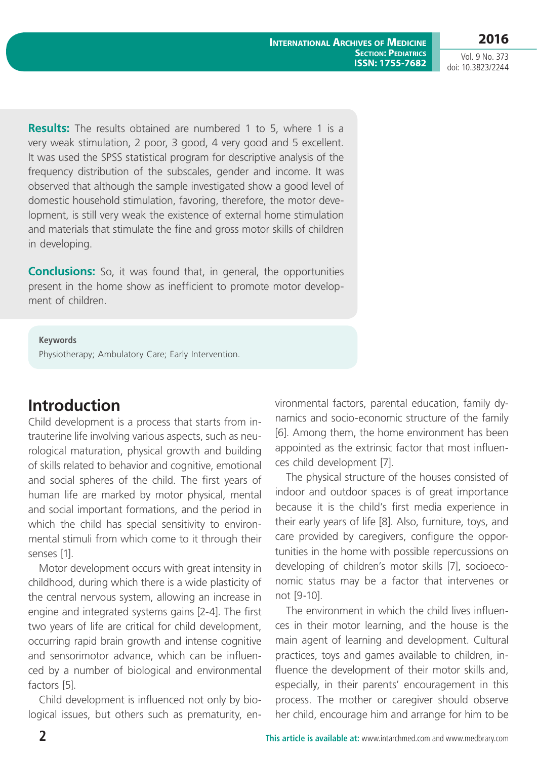**2016**

Vol. 9 No. 373 doi: 10.3823/2244

**Results:** The results obtained are numbered 1 to 5, where 1 is a very weak stimulation, 2 poor, 3 good, 4 very good and 5 excellent. It was used the SPSS statistical program for descriptive analysis of the frequency distribution of the subscales, gender and income. It was observed that although the sample investigated show a good level of domestic household stimulation, favoring, therefore, the motor development, is still very weak the existence of external home stimulation and materials that stimulate the fine and gross motor skills of children in developing.

**Conclusions:** So, it was found that, in general, the opportunities present in the home show as inefficient to promote motor development of children.

**Keywords**

Physiotherapy; Ambulatory Care; Early Intervention.

# **Introduction**

Child development is a process that starts from intrauterine life involving various aspects, such as neurological maturation, physical growth and building of skills related to behavior and cognitive, emotional and social spheres of the child. The first years of human life are marked by motor physical, mental and social important formations, and the period in which the child has special sensitivity to environmental stimuli from which come to it through their senses [1].

Motor development occurs with great intensity in childhood, during which there is a wide plasticity of the central nervous system, allowing an increase in engine and integrated systems gains [2-4]. The first two years of life are critical for child development, occurring rapid brain growth and intense cognitive and sensorimotor advance, which can be influenced by a number of biological and environmental factors [5].

Child development is influenced not only by biological issues, but others such as prematurity, environmental factors, parental education, family dynamics and socio-economic structure of the family [6]. Among them, the home environment has been appointed as the extrinsic factor that most influences child development [7].

The physical structure of the houses consisted of indoor and outdoor spaces is of great importance because it is the child's first media experience in their early years of life [8]. Also, furniture, toys, and care provided by caregivers, configure the opportunities in the home with possible repercussions on developing of children's motor skills [7], socioeconomic status may be a factor that intervenes or not [9-10].

The environment in which the child lives influences in their motor learning, and the house is the main agent of learning and development. Cultural practices, toys and games available to children, influence the development of their motor skills and, especially, in their parents' encouragement in this process. The mother or caregiver should observe her child, encourage him and arrange for him to be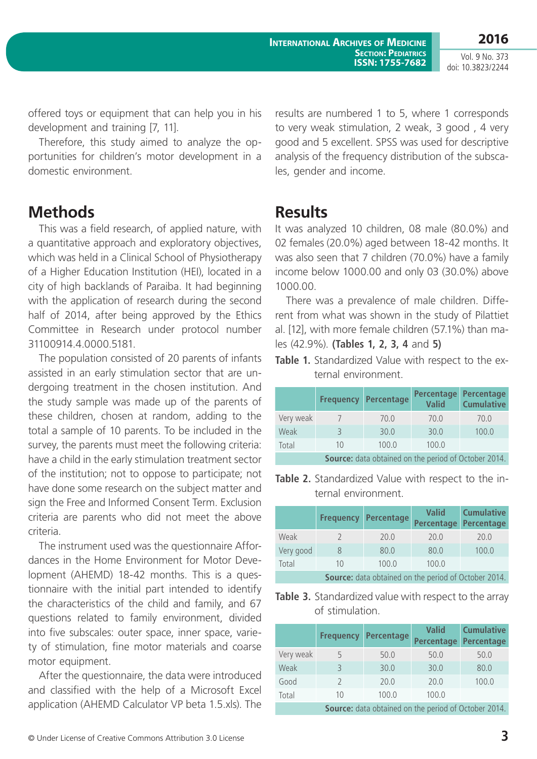Vol. 9 No. 373 doi: 10.3823/2244

offered toys or equipment that can help you in his development and training [7, 11].

Therefore, this study aimed to analyze the opportunities for children's motor development in a domestic environment.

## **Methods**

This was a field research, of applied nature, with a quantitative approach and exploratory objectives, which was held in a Clinical School of Physiotherapy of a Higher Education Institution (HEI), located in a city of high backlands of Paraiba. It had beginning with the application of research during the second half of 2014, after being approved by the Ethics Committee in Research under protocol number 31100914.4.0000.5181.

The population consisted of 20 parents of infants assisted in an early stimulation sector that are undergoing treatment in the chosen institution. And the study sample was made up of the parents of these children, chosen at random, adding to the total a sample of 10 parents. To be included in the survey, the parents must meet the following criteria: have a child in the early stimulation treatment sector of the institution; not to oppose to participate; not have done some research on the subject matter and sign the Free and Informed Consent Term. Exclusion criteria are parents who did not meet the above criteria.

The instrument used was the questionnaire Affordances in the Home Environment for Motor Development (AHEMD) 18-42 months. This is a questionnaire with the initial part intended to identify the characteristics of the child and family, and 67 questions related to family environment, divided into five subscales: outer space, inner space, variety of stimulation, fine motor materials and coarse motor equipment.

After the questionnaire, the data were introduced and classified with the help of a Microsoft Excel application (AHEMD Calculator VP beta 1.5.xls). The results are numbered 1 to 5, where 1 corresponds to very weak stimulation, 2 weak, 3 good , 4 very good and 5 excellent. SPSS was used for descriptive analysis of the frequency distribution of the subscales, gender and income.

### **Results**

It was analyzed 10 children, 08 male (80.0%) and 02 females (20.0%) aged between 18-42 months. It was also seen that 7 children (70.0%) have a family income below 1000.00 and only 03 (30.0%) above 1000.00.

There was a prevalence of male children. Different from what was shown in the study of Pilattiet al. [12], with more female children (57.1%) than males (42.9%). **(Tables 1, 2, 3, 4** and **5)**

**Table 1.** Standardized Value with respect to the external environment.

|                                                             | <b>Frequency</b> | Percentage | <b>Percentage</b><br><b>Valid</b> | Percentage<br><b>Cumulative</b> |
|-------------------------------------------------------------|------------------|------------|-----------------------------------|---------------------------------|
| Very weak                                                   |                  | 70.0       | 70.0                              | 70.0                            |
| Weak                                                        |                  | 30.0       | 30.0                              | 100.0                           |
| Total                                                       | 1()              | 100.0      | 100.0                             |                                 |
| <b>Source:</b> data obtained on the period of October 2014. |                  |            |                                   |                                 |

**Table 2.** Standardized Value with respect to the internal environment.

|                                                      | <b>Frequency</b> | Percentage | Valid<br><b>Percentage</b> | <b>Cumulative</b><br><b>Percentage</b> |
|------------------------------------------------------|------------------|------------|----------------------------|----------------------------------------|
| Weak                                                 |                  | 20.0       | 70.0                       | 20.0                                   |
| Very good                                            | 8                | 80.0       | 80.0                       | 100.0                                  |
| Total                                                | 10               | 100.0      | 100.0                      |                                        |
| Source: data obtained on the period of October 2014. |                  |            |                            |                                        |

**Table 3.** Standardized value with respect to the array of stimulation.

|                                                             | <b>Frequency</b> | <b>Percentage</b> | <b>Valid</b><br><b>Percentage</b> | <b>Cumulative</b><br>Percentage |
|-------------------------------------------------------------|------------------|-------------------|-----------------------------------|---------------------------------|
| Very weak                                                   | 5                | 50.0              | 50.0                              | 50.0                            |
| Weak                                                        | 3                | 30.0              | 30.0                              | 80.0                            |
| Good                                                        | $\mathcal{L}$    | 20.0              | 20.0                              | 100.0                           |
| Total                                                       | 10               | 100.0             | 100.0                             |                                 |
| <b>Source:</b> data obtained on the period of October 2014. |                  |                   |                                   |                                 |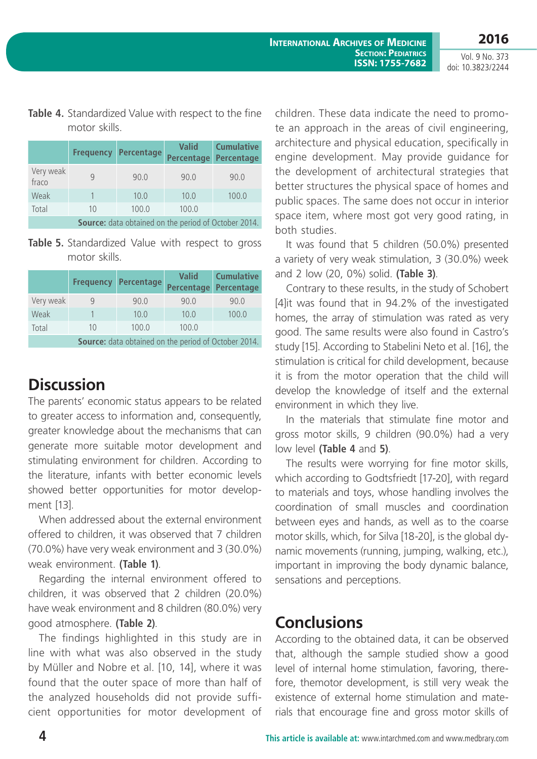Vol. 9 No. 373 doi: 10.3823/2244

#### **Table 4.** Standardized Value with respect to the fine motor skills.

|                                                             | <b>Frequency</b> | Percentage | <b>Valid</b><br><b>Percentage</b> | <b>Cumulative</b><br>Percentage |
|-------------------------------------------------------------|------------------|------------|-----------------------------------|---------------------------------|
| Very weak<br>fraco                                          | q                | 90.0       | 90.0                              | 90.0                            |
| Weak                                                        |                  | 10.0       | 10.0                              | 100.0                           |
| Total                                                       | 10               | 100.0      | 100.0                             |                                 |
| <b>Source:</b> data obtained on the period of October 2014. |                  |            |                                   |                                 |

Table 5. Standardized Value with respect to gross motor skills.

|                                                             | <b>Frequency</b> | Percentage | <b>Valid</b><br>Percentage | <b>Cumulative</b><br>Percentage |
|-------------------------------------------------------------|------------------|------------|----------------------------|---------------------------------|
| Very weak                                                   | 9                | 90.0       | 90.0                       | 90.0                            |
| Weak                                                        |                  | 10.0       | 10.0                       | 100.0                           |
| Total                                                       | 10               | 100.0      | 100.0                      |                                 |
| <b>Source:</b> data obtained on the period of October 2014. |                  |            |                            |                                 |

**Discussion**

The parents' economic status appears to be related to greater access to information and, consequently, greater knowledge about the mechanisms that can generate more suitable motor development and stimulating environment for children. According to the literature, infants with better economic levels showed better opportunities for motor development [13].

When addressed about the external environment offered to children, it was observed that 7 children (70.0%) have very weak environment and 3 (30.0%) weak environment. **(Table 1)**.

Regarding the internal environment offered to children, it was observed that 2 children (20.0%) have weak environment and 8 children (80.0%) very good atmosphere. **(Table 2)**.

The findings highlighted in this study are in line with what was also observed in the study by Müller and Nobre et al. [10, 14], where it was found that the outer space of more than half of the analyzed households did not provide sufficient opportunities for motor development of children. These data indicate the need to promote an approach in the areas of civil engineering, architecture and physical education, specifically in engine development. May provide guidance for the development of architectural strategies that better structures the physical space of homes and public spaces. The same does not occur in interior space item, where most got very good rating, in both studies.

It was found that 5 children (50.0%) presented a variety of very weak stimulation, 3 (30.0%) week and 2 low (20, 0%) solid. **(Table 3)**.

Contrary to these results, in the study of Schobert [4]it was found that in 94.2% of the investigated homes, the array of stimulation was rated as very good. The same results were also found in Castro's study [15]. According to Stabelini Neto et al. [16], the stimulation is critical for child development, because it is from the motor operation that the child will develop the knowledge of itself and the external environment in which they live.

In the materials that stimulate fine motor and gross motor skills, 9 children (90.0%) had a very low level **(Table 4** and **5)**.

The results were worrying for fine motor skills, which according to Godtsfriedt [17-20], with regard to materials and toys, whose handling involves the coordination of small muscles and coordination between eyes and hands, as well as to the coarse motor skills, which, for Silva [18-20], is the global dynamic movements (running, jumping, walking, etc.), important in improving the body dynamic balance, sensations and perceptions.

### **Conclusions**

According to the obtained data, it can be observed that, although the sample studied show a good level of internal home stimulation, favoring, therefore, themotor development, is still very weak the existence of external home stimulation and materials that encourage fine and gross motor skills of